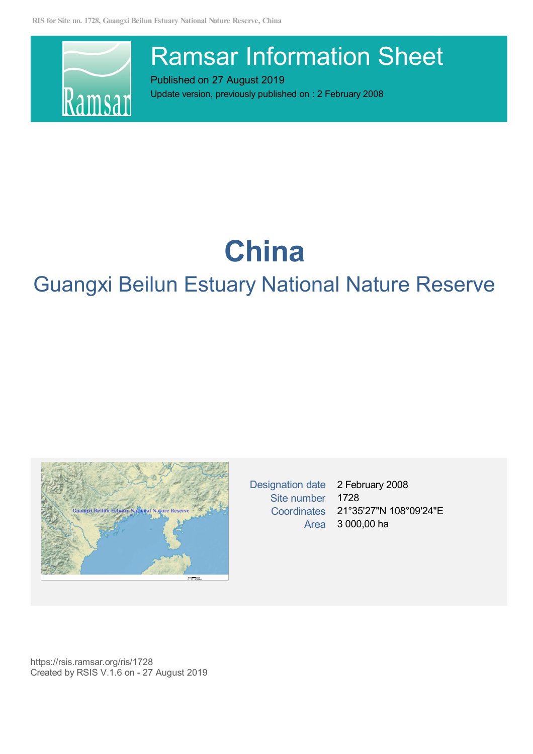

Ramsar Information Sheet

Published on 27 August 2019 Update version, previously published on :2 February 2008

# **China**

# Guangxi Beilun Estuary National Nature Reserve



Designation date 2 February 2008 Site number 1728 Coordinates 21°35'27"N 108°09'24"E Area 3 000,00 ha

https://rsis.ramsar.org/ris/1728 Created by RSIS V.1.6 on - 27 August 2019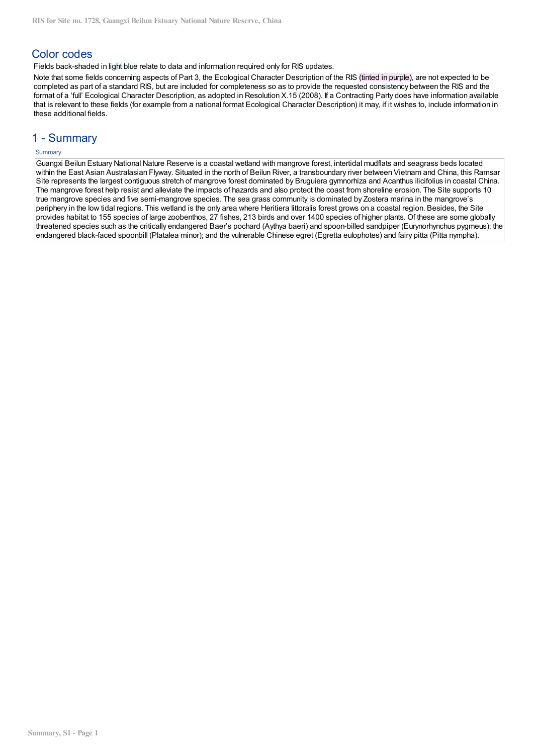# Color codes

Fields back-shaded in light blue relate to data and information required only for RIS updates.

Note that some fields concerning aspects of Part 3, the Ecological Character Description of the RIS (tinted in purple), are not expected to be completed as part of a standard RIS, but are included for completeness so as to provide the requested consistency between the RIS and the format of a 'full' Ecological Character Description, as adopted in Resolution X.15 (2008). If a Contracting Party does have information available that is relevant to these fields (for example from a national format Ecological Character Description) it may, if it wishes to, include information in these additional fields.

# 1 - Summary

# **Summary**

Guangxi Beilun Estuary National Nature Reserve is a coastal wetland with mangrove forest, intertidal mudflats and seagrass beds located within the East Asian Australasian Flyway. Situated in the north of Beilun River, a transboundary river between Vietnam and China, this Ramsar Site represents the largest contiguous stretch of mangrove forest dominated by Bruguiera gymnorhiza and Acanthus ilicifolius in coastal China. The mangrove forest help resist and alleviate the impacts of hazards and also protect the coast from shoreline erosion. The Site supports 10 true mangrove species and five semi-mangrove species. The sea grass community is dominated by Zostera marina in the mangrove's periphery in the low tidal regions. This wetland is the only area where Heritiera littoralis forest grows on a coastal region. Besides, the Site provides habitat to 155 species of large zoobenthos, 27 fishes, 213 birds and over 1400 species of higher plants. Of these are some globally threatened species such as the critically endangered Baer's pochard (Aythya baeri) and spoon-billed sandpiper (Eurynorhynchus pygmeus); the endangered black-faced spoonbill (Platalea minor); and the vulnerable Chinese egret (Egretta eulophotes) and fairy pitta (Pitta nympha).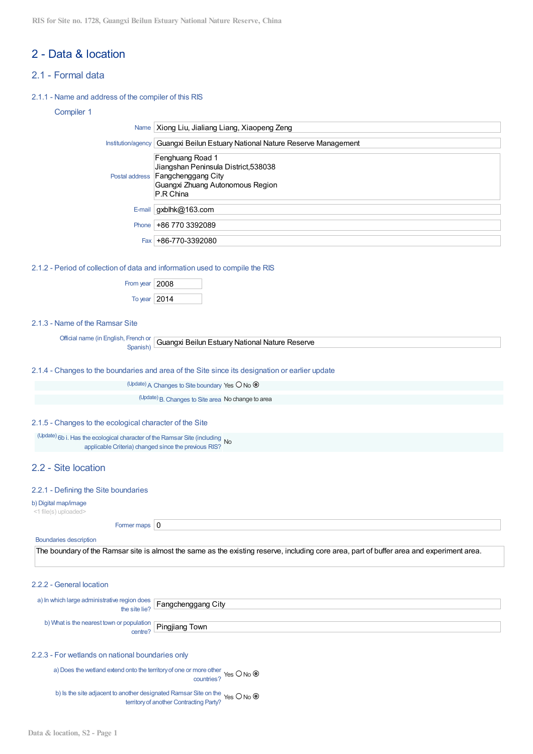# 2 - Data & location

- 2.1 Formal data
- 2.1.1 Name and address of the compiler of this RIS

# Compiler 1

|       | Name   Xiong Liu, Jialiang Liang, Xiaopeng Zeng                                                                                                  |
|-------|--------------------------------------------------------------------------------------------------------------------------------------------------|
|       | Institution/agency   Guangxi Beilun Estuary National Nature Reserve Management                                                                   |
|       | Fenghuang Road 1<br>Jiangshan Peninsula District, 538038<br>Postal address   Fangchenggang City<br>Guangxi Zhuang Autonomous Region<br>P.R China |
|       | E-mail $gxblhk@163.com$                                                                                                                          |
| Phone | +86 770 3392089                                                                                                                                  |
| Fax   | +86-770-3392080                                                                                                                                  |

2.1.2 - Period of collection of data and information used to compile the RIS

| From year $ 2008$          |  |
|----------------------------|--|
| To year $\vert 2014 \vert$ |  |

# 2.1.3 - Name of the Ramsar Site

| Official name (in English.<br>. French or | ⊦ Guanoxi Beilun Estuar∨ National Nature Reserve |  |
|-------------------------------------------|--------------------------------------------------|--|
|                                           |                                                  |  |

# 2.1.4 - Changes to the boundaries and area of the Site since its designation or earlier update

 $(U$ pdate) A Changes to Site boundary Yes  $O$  No  $\odot$ 

(Update) B. Changes to Site area No change to area

# 2.1.5 - Changes to the ecological character of the Site

(Update) 6b i.Has the ecological character of the Ramsar Site (including No applicable Criteria) changed since the previous RIS?

# 2.2 - Site location

# 2.2.1 - Defining the Site boundaries

# b) Digital map/image

<1 file(s) uploaded>

Former maps  $\boxed{0}$ 

#### Boundaries description

The boundary of the Ramsar site is almost the same as the existing reserve, including core area, part of buffer area and experiment area.

# 2.2.2 - General location

| a) In which large administrative region does<br>the site lie? <b>Fangchenggang City</b> |  |
|-----------------------------------------------------------------------------------------|--|
|                                                                                         |  |
| h) What is the nearest town or population <b>Pingjiang Town</b>                         |  |

# 2.2.3 - For wetlands on national boundaries only

a) Does the wetland extend onto the territory of one or more other Yes  $\bigcirc$  No ( countries?

b) Is the site adjacent to another designated Ramsar Site on the territoryof another Contracting Party? Yes No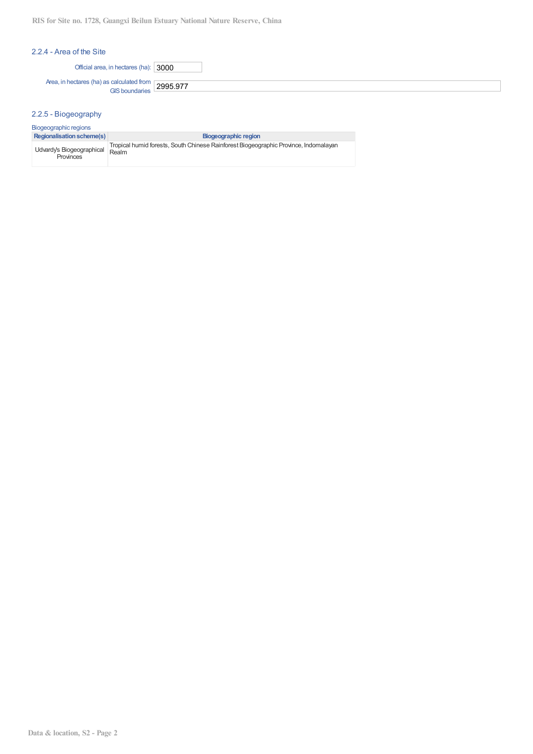**RIS for Site no. 1728, Guangxi Beilun Estuary National Nature Reserve, China**

# 2.2.4 - Area of the Site

Official area, in hectares (ha): 3000

Area, in hectares (ha) as calculated from  $\Gamma$ GIS boundaries 2995.977

# 2.2.5 - Biogeography

| Biogeographic regions                         |                                                                                               |  |  |  |  |
|-----------------------------------------------|-----------------------------------------------------------------------------------------------|--|--|--|--|
| Regionalisation scheme(s)                     | <b>Biogeographic region</b>                                                                   |  |  |  |  |
| Udvardy's Biogeographical<br><b>Provinces</b> | Tropical humid forests, South Chinese Rainforest Biogeographic Province, Indomalayan<br>Realm |  |  |  |  |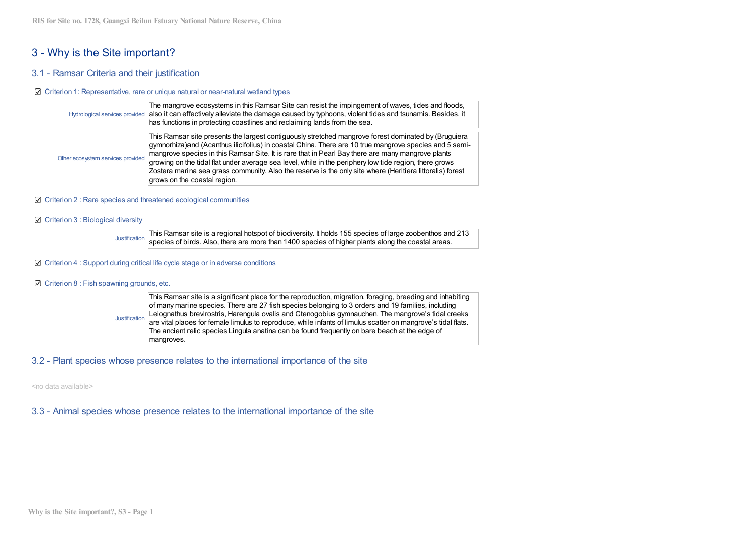# 3 - Why is the Site important?

# 3.1 - Ramsar Criteria and their justification

## ■ Criterion 1: Representative, rare or unique natural or near-natural wetland types

|                                   | The mangrove ecosystems in this Ramsar Site can resist the impingement of waves, tides and floods,<br>Hydrological services provided also it can effectively alleviate the damage caused by typhoons, violent tides and tsunamis. Besides, it<br>has functions in protecting coastlines and reclaiming lands from the sea.                                                                                                                                                                                                                                                  |
|-----------------------------------|-----------------------------------------------------------------------------------------------------------------------------------------------------------------------------------------------------------------------------------------------------------------------------------------------------------------------------------------------------------------------------------------------------------------------------------------------------------------------------------------------------------------------------------------------------------------------------|
|                                   |                                                                                                                                                                                                                                                                                                                                                                                                                                                                                                                                                                             |
| Other ecosystem services provided | This Ramsar site presents the largest contiguously stretched mangrove forest dominated by (Bruguiera<br>gymnorhiza) and (Acanthus ilicifolius) in coastal China. There are 10 true mangrove species and 5 semi-<br>mangrove species in this Ramsar Site. It is rare that in Pearl Bay there are many mangrove plants<br>growing on the tidal flat under average sea level, while in the periphery low tide region, there grows<br>Zostera marina sea grass community. Also the reserve is the only site where (Heritiera littoralis) forest<br>grows on the coastal region. |
|                                   |                                                                                                                                                                                                                                                                                                                                                                                                                                                                                                                                                                             |

#### $\boxtimes$  Criterion 2 : Rare species and threatened ecological communities

## **☑** Criterion 3 : Biological diversity

Justification This Ramsar site is a regional hotspot of biodiversity. It holds 155 species of large zoobenthos and 213 species of birds. Also, there are more than 1400 species of higher plants along the coastal areas.

## $\boxtimes$  Criterion 4 : Support during critical life cycle stage or in adverse conditions

## C Criterion 8 : Fish spawning grounds, etc.

Justification This Ramsar site is a significant place for the reproduction, migration, foraging, breeding and inhabiting of many marine species. There are 27 fish species belonging to 3 orders and 19 families, including Leiognathus brevirostris, Harengula ovalis and Ctenogobius gymnauchen. The mangrove's tidal creeks are vital places for female limulus to reproduce, while infants of limulus scatter on mangrove's tidal flats. The ancient relic species Lingula anatina can be found frequently on bare beach at the edge of mangroves.

# 3.2 - Plant species whose presence relates to the international importance of the site

<no data available>

3.3 - Animal species whose presence relates to the international importance of the site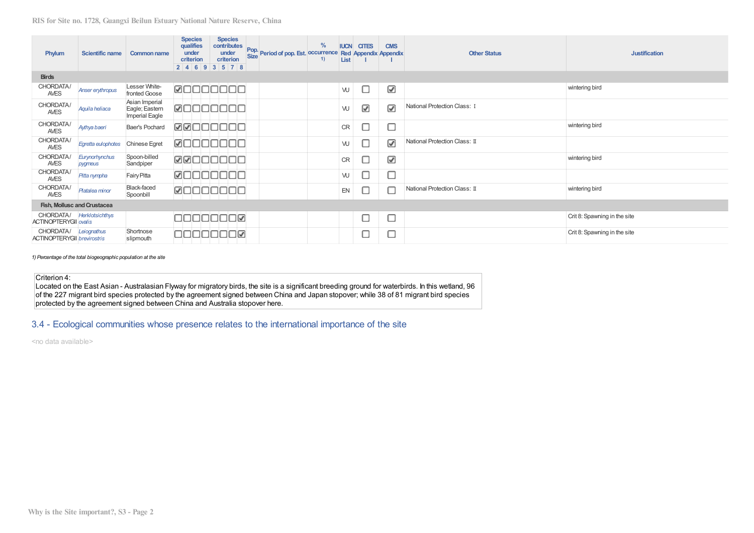| Phylum                                                      | Scientific name           | <b>Common name</b>                                        | <b>Species</b><br>qualifies<br>under<br>criterion | <b>Species</b><br>contributes<br>under<br>criterion<br>2 4 6 9 3 5 7 8 | Pop.<br>Size<br>Period of pop. Est. Occurrence Red Appendix Appendix | $\%$<br>1) | <b>IUCN</b><br>List | <b>CITES</b> | <b>CMS</b> | <b>Other Status</b>           | <b>Justification</b>         |
|-------------------------------------------------------------|---------------------------|-----------------------------------------------------------|---------------------------------------------------|------------------------------------------------------------------------|----------------------------------------------------------------------|------------|---------------------|--------------|------------|-------------------------------|------------------------------|
| <b>Birds</b>                                                |                           |                                                           |                                                   |                                                                        |                                                                      |            |                     |              |            |                               |                              |
| CHORDATA/<br><b>AVES</b>                                    | Anser erythropus          | Lesser White-<br>fronted Goose                            |                                                   | <b>00000000</b>                                                        |                                                                      |            | W                   | С            | ✔          |                               | wintering bird               |
| CHORDATA/<br><b>AVES</b>                                    | Aquila heliaca            | Asian Imperial<br>Eagle; Eastern<br><b>Imperial Eagle</b> | ØOO                                               |                                                                        |                                                                      |            | W                   | ☑            | ☑          | National Protection Class: I  |                              |
| CHORDATA/<br><b>AVES</b>                                    | Aythya baeri              | Baer's Pochard                                            | 00                                                | ┓╔                                                                     |                                                                      |            | <b>CR</b>           |              | $\Box$     |                               | wintering bird               |
| CHORDATA/<br><b>AVES</b>                                    | Egretta eulophotes        | Chinese Egret                                             | ர                                                 | ┑┍                                                                     |                                                                      |            | W                   |              | ☑          | National Protection Class: II |                              |
| CHORDATA/<br><b>AVES</b>                                    | Eurynorhynchus<br>pygmeus | Spoon-billed<br>Sandpiper                                 |                                                   | ØØOOOOOO                                                               |                                                                      |            | <b>CR</b>           |              | ☑          |                               | wintering bird               |
| CHORDATA/<br><b>AVES</b>                                    | Pitta nympha              | <b>Fairy Pitta</b>                                        | ⊠⊓                                                |                                                                        |                                                                      |            | W                   |              | С          |                               |                              |
| CHORDATA/<br><b>AVES</b>                                    | Platalea minor            | <b>Black-faced</b><br>Spoonbill                           | ☑⊏                                                | Пſ                                                                     |                                                                      |            | EN                  |              | Г          | National Protection Class: II | wintering bird               |
| Fish, Mollusc and Crustacea                                 |                           |                                                           |                                                   |                                                                        |                                                                      |            |                     |              |            |                               |                              |
| CHORDATA/ Herklotsichthys<br><b>ACTINOPTERYGII</b> ovalis   |                           |                                                           |                                                   | 100000                                                                 |                                                                      |            |                     | с            | С          |                               | Crit 8: Spawning in the site |
| CHORDATA/ Leiognathus<br><b>ACTINOPTERYGII</b> brevirostris |                           | Shortnose<br>slipmouth                                    |                                                   | 00000000                                                               |                                                                      |            |                     |              |            |                               | Crit 8: Spawning in the site |

*1) Percentage of the total biogeographic population at the site*

Criterion 4:

Located on the East Asian - Australasian Flyway for migratory birds, the site is a significant breeding ground for waterbirds. In this wetland, 96 of the 227 migrant bird species protected by the agreement signed between China and Japan stopover; while 38 of 81 migrant bird species protected by the agreement signed between China and Australia stopover here.

3.4 - Ecological communities whose presence relates to the international importance of the site

<no data available>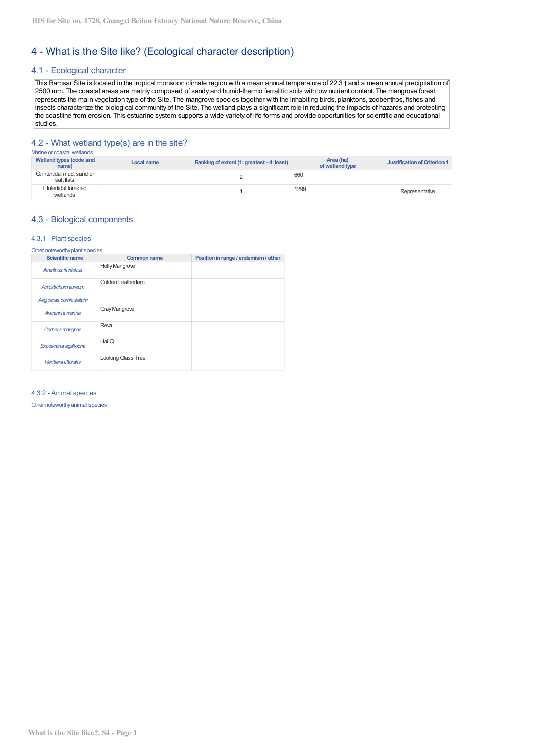# 4 - What is the Site like? (Ecological character description)

# 4.1 - Ecological character

This Ramsar Site is located in the tropical monsoon climate region with a mean annual temperature of 22.3 I and a mean annual precipitation of 2500 mm. The coastal areas are mainly composed of sandy and humid-thermo ferralitic soils with low nutrient content. The mangrove forest represents the main vegetation type of the Site. The mangrove species together with the inhabiting birds, planktons, zoobenthos, fishes and insects characterize the biological community of the Site. The wetland plays a significant role in reducing the impacts of hazards and protecting the coastline from erosion. This estuarine system supports a wide variety of life forms and provide opportunities for scientific and educational studies.

# 4.2 - What wetland type(s) are in the site?

| Marine or coastal wetlands               |            |                                            |                              |                              |
|------------------------------------------|------------|--------------------------------------------|------------------------------|------------------------------|
| Wetland types (code and<br>name)         | Local name | Ranking of extent (1: greatest - 4: least) | Area (ha)<br>of wetland type | Justification of Criterion 1 |
| G: Intertidal mud, sand or<br>salt flats |            |                                            | 660                          |                              |
| I: Intertidal forested<br>wetlands       |            |                                            | 1299                         | Representative               |

# 4.3 - Biological components

# 4.3.1 - Plant species

| Other noteworthy plant species |                           |                                      |
|--------------------------------|---------------------------|--------------------------------------|
| <b>Scientific name</b>         | <b>Common name</b>        | Position in range / endemism / other |
| <b>Acanthus ilicifolius</b>    | <b>Holly Mangrove</b>     |                                      |
| Acrostichum aureum             | Golden Leatherfern        |                                      |
| Aegiceras corniculatum         |                           |                                      |
| Avicennia marina               | Gray Mangrove             |                                      |
| Cerbera manghas                | Reva                      |                                      |
| Excoecaria agallocha           | Hai Qi                    |                                      |
| <b>Heritiera littoralis</b>    | <b>Looking Glass Tree</b> |                                      |

4.3.2 - Animal species

Other noteworthy animal species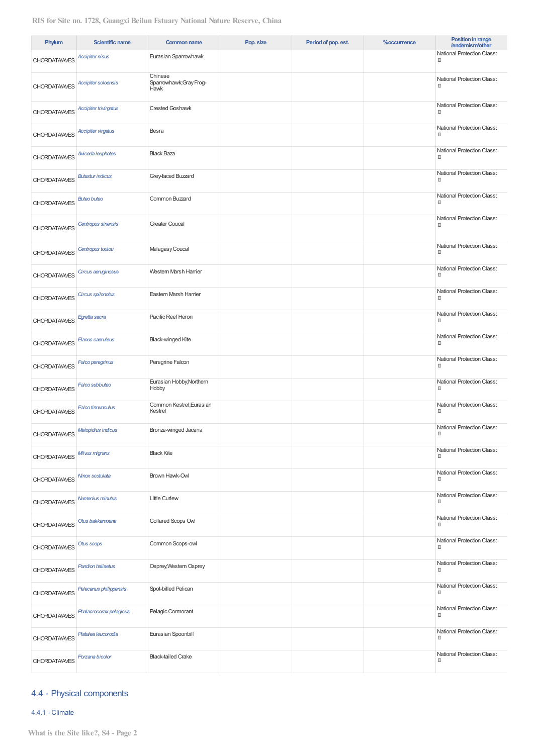| Phylum               | <b>Scientific name</b>       | Common name                                | Pop. size | Period of pop. est. | %occurrence | Position in range<br>/endemism/other |
|----------------------|------------------------------|--------------------------------------------|-----------|---------------------|-------------|--------------------------------------|
| <b>CHORDATA/AVES</b> | <b>Accipiter nisus</b>       | Eurasian Sparrowhawk                       |           |                     |             | National Protection Class:<br>П      |
| <b>CHORDATA/AVES</b> | <b>Accipiter soloensis</b>   | Chinese<br>Sparrowhawk; Gray Frog-<br>Hawk |           |                     |             | National Protection Class:<br>П      |
| <b>CHORDATA/AVES</b> | <b>Accipiter trivirgatus</b> | <b>Crested Goshawk</b>                     |           |                     |             | National Protection Class:<br>П      |
| <b>CHORDATA/AVES</b> | <b>Accipiter virgatus</b>    | Besra                                      |           |                     |             | National Protection Class:<br>П      |
| <b>CHORDATA/AVES</b> | Aviceda leuphotes            | <b>Black Baza</b>                          |           |                     |             | National Protection Class:<br>П      |
| <b>CHORDATA/AVES</b> | <b>Butastur indicus</b>      | Grey-faced Buzzard                         |           |                     |             | National Protection Class:<br>П      |
| <b>CHORDATA/AVES</b> | <b>Buteo buteo</b>           | Common Buzzard                             |           |                     |             | National Protection Class:<br>П      |
| <b>CHORDATA/AVES</b> | Centropus sinensis           | <b>Greater Coucal</b>                      |           |                     |             | National Protection Class:<br>П      |
| <b>CHORDATA/AVES</b> | Centropus toulou             | Malagasy Coucal                            |           |                     |             | National Protection Class:<br>П      |
| <b>CHORDATA/AVES</b> | Circus aeruginosus           | Western Marsh Harrier                      |           |                     |             | National Protection Class:<br>П      |
| <b>CHORDATA/AVES</b> | Circus spilonotus            | Eastern Marsh Harrier                      |           |                     |             | National Protection Class:<br>П      |
| <b>CHORDATA/AVES</b> | Egretta sacra                | Pacific Reef Heron                         |           |                     |             | National Protection Class:<br>П      |
| <b>CHORDATA/AVES</b> | <b>Elanus caeruleus</b>      | <b>Black-winged Kite</b>                   |           |                     |             | National Protection Class:<br>П      |
| <b>CHORDATA/AVES</b> | <b>Falco peregrinus</b>      | Peregrine Falcon                           |           |                     |             | National Protection Class:<br>П      |
| <b>CHORDATA/AVES</b> | Falco subbuteo               | Eurasian Hobby, Northern<br>Hobby          |           |                     |             | National Protection Class:<br>П      |
| <b>CHORDATA/AVES</b> | <b>Falco tinnunculus</b>     | Common Kestrel; Eurasian<br>Kestrel        |           |                     |             | National Protection Class:<br>П      |
| <b>CHORDATA/AVES</b> | Metopidius indicus           | Bronze-winged Jacana                       |           |                     |             | National Protection Class:<br>П      |
| <b>CHORDATA/AVES</b> | Milvus migrans               | <b>Black Kite</b>                          |           |                     |             | National Protection Class:<br>П      |
| <b>CHORDATA/AVES</b> | Ninox scutulata              | Brown Hawk-Owl                             |           |                     |             | National Protection Class:<br>П      |
| <b>CHORDATA/AVES</b> | Numenius minutus             | <b>Little Curlew</b>                       |           |                     |             | National Protection Class:<br>П      |
| <b>CHORDATA/AVES</b> | Otus bakkamoena              | Collared Scops Owl                         |           |                     |             | National Protection Class:<br>П      |
| <b>CHORDATA/AVES</b> | Otus scops                   | Common Scops-owl                           |           |                     |             | National Protection Class:<br>П      |
| <b>CHORDATA/AVES</b> | <b>Pandion haliaetus</b>     | Osprey, Western Osprey                     |           |                     |             | National Protection Class:<br>П      |
| <b>CHORDATA/AVES</b> | Pelecanus philippensis       | Spot-billed Pelican                        |           |                     |             | National Protection Class:<br>П      |
| <b>CHORDATA/AVES</b> | Phalacrocorax pelagicus      | Pelagic Cormorant                          |           |                     |             | National Protection Class:<br>П      |
| <b>CHORDATA/AVES</b> | Platalea leucorodia          | Eurasian Spoonbill                         |           |                     |             | National Protection Class:<br>П      |
| <b>CHORDATA/AVES</b> | Porzana bicolor              | <b>Black-tailed Crake</b>                  |           |                     |             | National Protection Class:<br>П      |

# 4.4 - Physical components

4.4.1 - Climate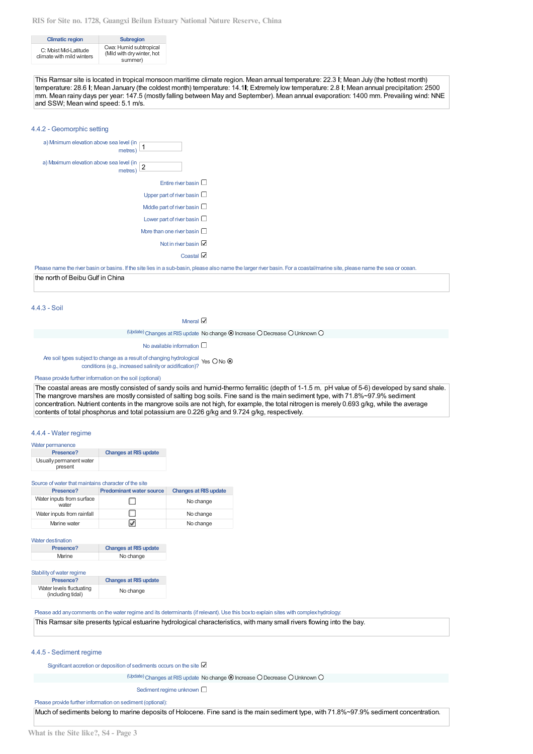| <b>Climatic region</b>                             | <b>Subregion</b>                                                |
|----------------------------------------------------|-----------------------------------------------------------------|
| C: Moist Mid-Latitude<br>climate with mild winters | Cwa: Humid subtropical<br>(Mild with dry winter, hot<br>summer) |

This Ramsar site is located in tropical monsoon maritime climate region. Mean annual temperature: 22.3 I; Mean July (the hottest month) temperature: 28.6 I; Mean January (the coldest month) temperature: 14.1 I; Extremely low temperature: 2.8 I; Mean annual precipitation: 2500 mm. Mean rainy days per year: 147.5 (mostly falling between May and September). Mean annual evaporation: 1400 mm. Prevailing wind: NNE and SSW; Mean wind speed: 5.1 m/s.

#### 4.4.2 - Geomorphic setting



Please name the river basin or basins. If the site lies in a sub-basin, please also name the larger river basin. For a coastal/marine site, please name the sea or ocean.

the north of BeibuGulf in China

#### 4.4.3 - Soil

Mineral Z

(Update) Changes at RIS update No change @ Increase O Decrease O Unknown O

No available information  $\square$ 

Are soil types subject to change as a result of changing hydrological  $Y$ es O No ( conditions (e.g., increased salinityor acidification)?

#### Please provide further information on the soil (optional)

The coastal areas are mostly consisted of sandy soils and humid-thermo ferralitic (depth of 1-1.5 m, pH value of 5-6) developed by sand shale. The mangrove marshes are mostly consisted of salting bog soils. Fine sand is the main sediment type, with 71.8%~97.9% sediment concentration. Nutrient contents in the mangrove soils are not high, for example, the total nitrogen is merely 0.693 g/kg, while the average contents of total phosphorus and total potassium are 0.226 g/kg and 9.724 g/kg, respectively.

#### 4.4.4 - Water regime

| Water permanence |  |
|------------------|--|
|------------------|--|

| Presence?                          | <b>Changes at RIS update</b> |
|------------------------------------|------------------------------|
| Usually permanent water<br>present |                              |

#### Source of water that maintains character of the site

| Presence?                          | <b>Predominant water source</b> | <b>Changes at RIS update</b> |
|------------------------------------|---------------------------------|------------------------------|
| Water inputs from surface<br>water |                                 | No change                    |
| Water inputs from rainfall         |                                 | No change                    |
| Marine water                       |                                 | No change                    |

Water destination

| Presence? | <b>Changes at RIS update</b> |
|-----------|------------------------------|
| Marine    | No change                    |

# Stability of water regime

| Presence?                                     | <b>Changes at RIS update</b> |
|-----------------------------------------------|------------------------------|
| Water levels fluctuating<br>(including tidal) | No change                    |

#### Please add any comments on the water regime and its determinants (if relevant). Use this box to explain sites with complex hydrology:

This Ramsar site presents typical estuarine hydrological characteristics, with many small rivers flowing into the bay.

## 4.4.5 - Sediment regime

Significant accretion or deposition of sediments occurs on the site M

(Update) Changes at RIS update No change @ Increase O Decrease O Unknown O

## Sediment regime unknown  $\Box$

#### Please provide further information on sediment (optional):

Much of sediments belong to marine deposits of Holocene. Fine sand is the main sediment type, with 71.8%~97.9% sediment concentration.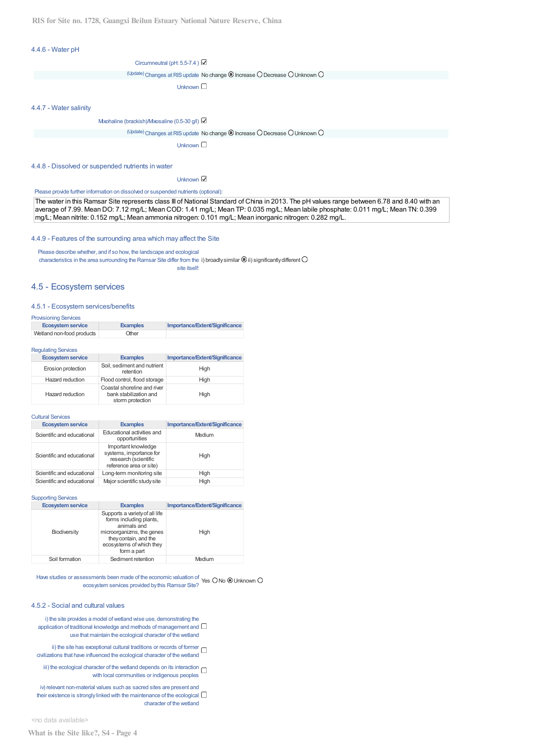## 4.4.6 - Water pH

| Circumneutral (pH: 5.5-7.4) |  |
|-----------------------------|--|

(Update) Changes at RIS update No change <sup>®</sup> Increase O Decrease O Unknown O

Unknown  $\square$ 

#### 4.4.7 - Water salinity

Mxohaline (brackish)/Mxosaline (0.5-30 g/l)

(Update) Changes at RIS update No change  $\textcircled{\small{}}$  Increase  $\textcircled{\small{}}$  Decrease  $\textcircled{\small{}}$  Unknown  $\textcircled{\small{}}$ 

Unknown  $\square$ 

#### 4.4.8 - Dissolved or suspended nutrients in water

Unknown  $\mathbb{Z}$ 

#### Please provide further information on dissolved or suspended nutrients (optional)

The water in this Ramsar Site represents class III of National Standard of China in 2013. The pH values range between 6.78 and 8.40 with an average of 7.99. Mean DO: 7.12 mg/L; Mean COD: 1.41 mg/L; Mean TP: 0.035 mg/L; Mean labile phosphate: 0.011 mg/L; Mean TN: 0.399 mg/L; Mean nitrite: 0.152 mg/L; Mean ammonia nitrogen: 0.101 mg/L; Mean inorganic nitrogen: 0.282 mg/L.

#### 4.4.9 - Features of the surrounding area which may affect the Site

Please describe whether, and if so how, the landscape and ecological characteristics in the area surrounding the Ramsar Site differ from the i) broadly similar  $\bullet$  ii) significantly different site itself:

## 4.5 - Ecosystem services

#### 4.5.1 - Ecosystem services/benefits

| <b>Provisioning Services</b> |  |
|------------------------------|--|
|------------------------------|--|

| Ecosystem service         | <b>Examples</b> | Importance/Extent/Significance |
|---------------------------|-----------------|--------------------------------|
| Wetland non-food products | Other           |                                |

Regulating Services

| <b>Ecosystem service</b> | <b>Examples</b>                                                           | Importance/Extent/Significance |
|--------------------------|---------------------------------------------------------------------------|--------------------------------|
| Erosion protection       | Soil, sediment and nutrient<br>retention                                  | High                           |
| Hazard reduction         | Flood control, flood storage                                              | Hiah                           |
| Hazard reduction         | Coastal shoreline and river<br>bank stabilization and<br>storm protection | High                           |

#### Cultural Services

| <b>Ecosystem service</b>   | <b>Examples</b>                                                                                   | Importance/Extent/Significance |
|----------------------------|---------------------------------------------------------------------------------------------------|--------------------------------|
| Scientific and educational | Educational activities and<br>opportunities                                                       | Medium                         |
| Scientific and educational | Important knowledge<br>systems, importance for<br>research (scientific<br>reference area or site) | High                           |
| Scientific and educational | Long-term monitoring site                                                                         | Hiah                           |
| Scientific and educational | Major scientific study site                                                                       | High                           |

#### **Supporting Services**

| <b>Ecosystem service</b> | <b>Examples</b>                                                                                                                                                           | Importance/Extent/Significance |
|--------------------------|---------------------------------------------------------------------------------------------------------------------------------------------------------------------------|--------------------------------|
| Biodiversity             | Supports a variety of all life<br>forms including plants,<br>animals and<br>microorganizms, the genes<br>they contain, and the<br>ecosystems of which they<br>form a part | High                           |
| Soil formation           | Sediment retention                                                                                                                                                        | Medium                         |

Have studies or assessments been made of the economic valuation of Yes No Unknown ecosystem services provided bythis Ramsar Site?

### 4.5.2 - Social and cultural values

- i) the site provides a model ofwetland wise use, demonstrating the application of traditional knowledge and methods of management and  $\Box$ use that maintain the ecological character of the wetland
- ii) the site has exceptional cultural traditions or records of former  $\Box$ civilizations that have influenced the ecological character of the wetland
	- iii) the ecological character of the wetland depends on its interaction  $\Box$ with local communities or indigenous peoples
- iv) relevant non-material values such as sacred sites are present and their existence is strongly linked with the maintenance of the ecological  $\Box$ character of the wetland

<no data available>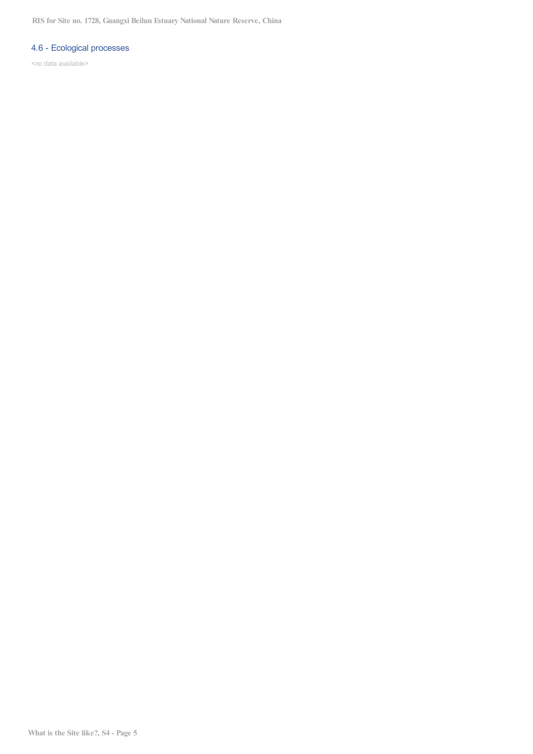**RIS for Site no. 1728, Guangxi Beilun Estuary National Nature Reserve, China**

# 4.6 - Ecological processes

<no data available>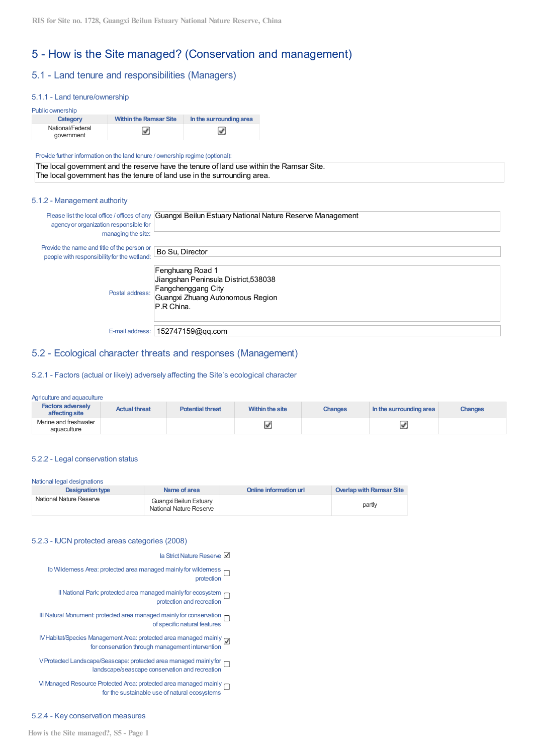# 5 - How is the Site managed? (Conservation and management)

# 5.1 - Land tenure and responsibilities (Managers)

# 5.1.1 - Land tenure/ownership

| Public ownership               |                               |                         |
|--------------------------------|-------------------------------|-------------------------|
| Category                       | <b>Within the Ramsar Site</b> | In the surrounding area |
| National/Federal<br>government |                               |                         |

Provide further information on the land tenure / ownership regime (optional):

The local government and the reserve have the tenure of land use within the Ramsar Site. The local government has the tenure of land use in the surrounding area.

# 5.1.2 - Management authority

| agency or organization responsible for<br>managing the site:                               | Please list the local office / offices of any <b>Guangxi Beilun Estuary National Nature Reserve Management</b>                   |
|--------------------------------------------------------------------------------------------|----------------------------------------------------------------------------------------------------------------------------------|
| Provide the name and title of the person or<br>people with responsibility for the wetland: | Bo Su, Director                                                                                                                  |
| Postal address:                                                                            | Fenghuang Road 1<br>Jiangshan Peninsula District, 538038<br>Fangchenggang City<br>Guangxi Zhuang Autonomous Region<br>P.R China. |
|                                                                                            | E-mail address:   152747159@qq.com                                                                                               |

# 5.2 - Ecological character threats and responses (Management)

# 5.2.1 - Factors (actual or likely) adversely affecting the Site's ecological character

Agriculture and aquaculture

| <b>Factors adversely</b><br>affecting site | <b>Actual threat</b> | <b>Potential threat</b> | Within the site | <b>Changes</b> | In the surrounding area | <b>Changes</b> |
|--------------------------------------------|----------------------|-------------------------|-----------------|----------------|-------------------------|----------------|
| Marine and freshwater<br>aquaculture       |                      |                         |                 |                | ×                       |                |

# 5.2.2 - Legal conservation status

National legal designations

| <b>Designation type</b> | Name of area                                      | Online information url | <b>Overlap with Ramsar Site</b> |
|-------------------------|---------------------------------------------------|------------------------|---------------------------------|
| National Nature Reserve | Guangxi Beilun Estuary<br>National Nature Reserve |                        | partly                          |

## 5.2.3 - IUCN protected areas categories (2008)

Ia Strict Nature Reserve **■** 

Ib Wilderness Area: protected area managed mainlyfor wilderness protection

II National Park: protected area managed mainly for ecosystem  $\Box$ protection and recreation

III Natural Monument: protected area managed mainly for conservation  $\Box$ of specific natural features

IVHabitat/Species Management Area: protected area managed mainly for conservation through management intervention

VProtected Landscape/Seascape: protected area managed mainlyfor landscape/seascape conservation and recreation

VI Managed Resource Protected Area: protected area managed mainly for the sustainable use of natural ecosystems

# 5.2.4 - Key conservation measures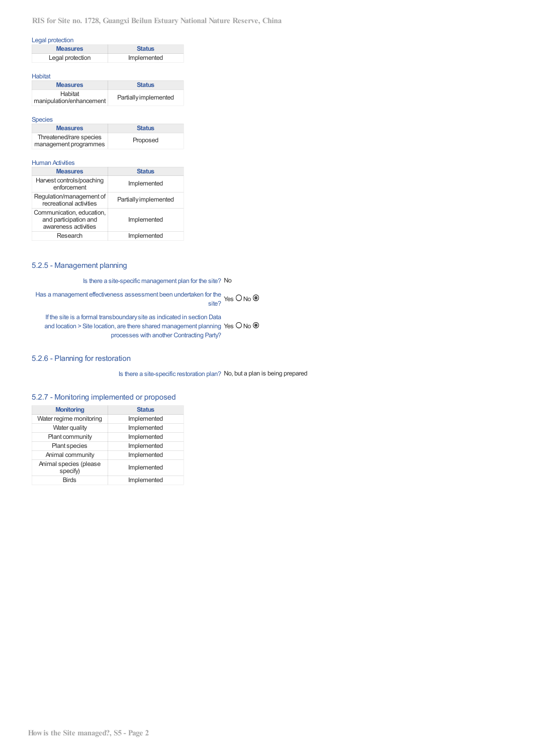# **RIS for Site no. 1728, Guangxi Beilun Estuary National Nature Reserve, China**

## Legal protection

| .                |               |
|------------------|---------------|
| <b>Measures</b>  | <b>Status</b> |
| Legal protection | Implemented   |
|                  |               |

# Habitat

| <b>Measures</b>                     | <b>Status</b>         |
|-------------------------------------|-----------------------|
| Habitat<br>manipulation/enhancement | Partially implemented |

#### Species

| <b>Measures</b>         | <b>Status</b> |  |
|-------------------------|---------------|--|
| Threatened/rare species | Proposed      |  |
| management programmes   |               |  |

# Human Activities

| <b>Measures</b>                                                            | <b>Status</b>         |
|----------------------------------------------------------------------------|-----------------------|
| Harvest controls/poaching<br>enforcement                                   | Implemented           |
| Regulation/management of<br>recreational activities                        | Partially implemented |
| Communication, education,<br>and participation and<br>awareness activities | Implemented           |
| Research                                                                   | Implemented           |

# 5.2.5 - Management planning

Is there a site-specific management plan for the site? No

Has a management effectiveness assessment been undertaken for the Yes  $\bigcirc$  No ( site?

If the site is a formal transboundarysite as indicated in section Data and location > Site location, are there shared management planning Yes  $\circ$  No  $\circ$ processes with another Contracting Party?

# 5.2.6 - Planning for restoration

Is there a site-specific restoration plan? No, but a plan is being prepared

# 5.2.7 - Monitoring implemented or proposed

| <b>Monitoring</b>                  | <b>Status</b> |
|------------------------------------|---------------|
| Water regime monitoring            | Implemented   |
| Water quality                      | Implemented   |
| Plant community                    | Implemented   |
| Plant species                      | Implemented   |
| Animal community                   | Implemented   |
| Animal species (please<br>specify) | Implemented   |
| <b>Birds</b>                       | Implemented   |